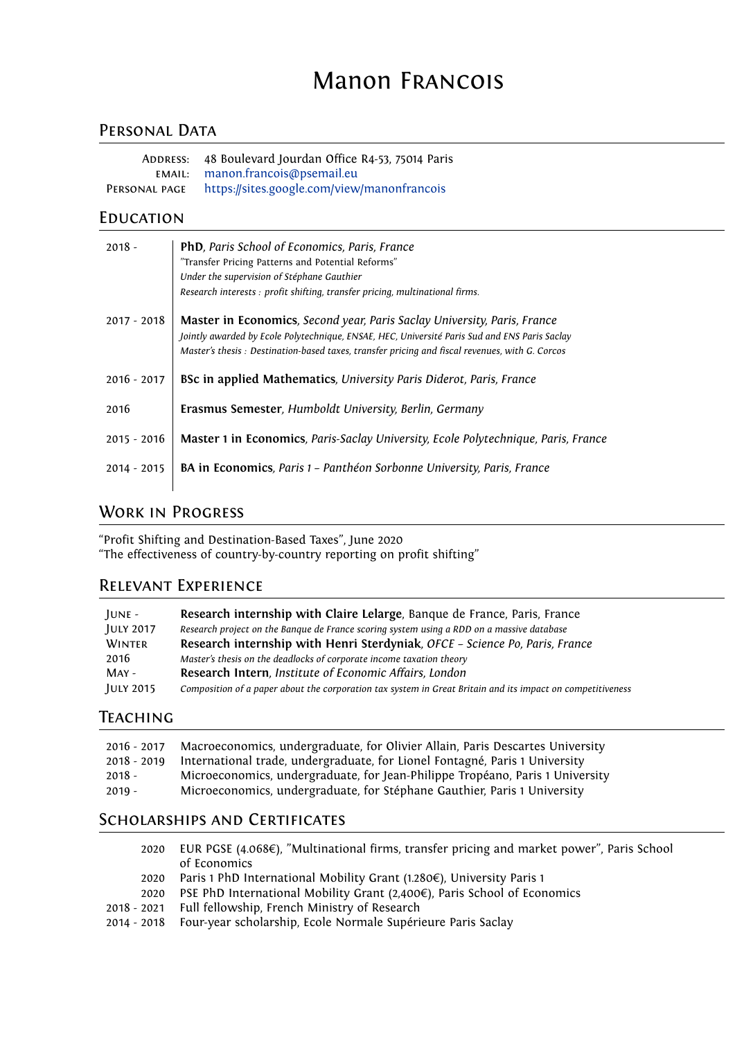# Manon Francois

# PERSONAL DATA

| ADDRESS:      | 48 Boulevard Jourdan Office R4-53, 75014 Paris |
|---------------|------------------------------------------------|
|               | EMAIL: manon.francois@psemail.eu               |
| PERSONAL PAGE | https://sites.google.com/view/manonfrancois    |

#### **EDUCATION**

| $2018 -$      | <b>PhD</b> , Paris School of Economics, Paris, France<br>"Transfer Pricing Patterns and Potential Reforms"<br>Under the supervision of Stéphane Gauthier<br>Research interests : profit shifting, transfer pricing, multinational firms.                                    |
|---------------|-----------------------------------------------------------------------------------------------------------------------------------------------------------------------------------------------------------------------------------------------------------------------------|
| $2017 - 2018$ | Master in Economics, Second year, Paris Saclay University, Paris, France<br>Jointly awarded by Ecole Polytechnique, ENSAE, HEC, Université Paris Sud and ENS Paris Saclay<br>Master's thesis: Destination-based taxes, transfer pricing and fiscal revenues, with G. Corcos |
| $2016 - 2017$ | BSc in applied Mathematics, University Paris Diderot, Paris, France                                                                                                                                                                                                         |
| 2016          | Erasmus Semester, Humboldt University, Berlin, Germany                                                                                                                                                                                                                      |
| $2015 - 2016$ | Master 1 in Economics, Paris-Saclay University, Ecole Polytechnique, Paris, France                                                                                                                                                                                          |
| $2014 - 2015$ | BA in Economics, Paris 1 - Panthéon Sorbonne University, Paris, France                                                                                                                                                                                                      |
|               |                                                                                                                                                                                                                                                                             |

# Work in Progress

"Profit Shifting and Destination-Based Taxes", June 2020 "The effectiveness of country-by-country reporting on profit shifting"

#### Relevant Experience

| $IUNE -$         | Research internship with Claire Lelarge, Banque de France, Paris, France                                   |
|------------------|------------------------------------------------------------------------------------------------------------|
| <b>JULY 2017</b> | Research project on the Bangue de France scoring system using a RDD on a massive database                  |
| WINTER           | Research internship with Henri Sterdyniak, OFCE - Science Po, Paris, France                                |
| 2016             | Master's thesis on the deadlocks of corporate income taxation theory                                       |
| $MAY -$          | Research Intern, Institute of Economic Affairs, London                                                     |
| <b>JULY 2015</b> | Composition of a paper about the corporation tax system in Great Britain and its impact on competitiveness |

#### **TEACHING**

| $2016 - 2017$ | Macroeconomics, undergraduate, for Olivier Allain, Paris Descartes University |
|---------------|-------------------------------------------------------------------------------|
| $2018 - 2019$ | International trade, undergraduate, for Lionel Fontagné, Paris 1 University   |
| $2018 -$      | Microeconomics, undergraduate, for Jean-Philippe Tropéano, Paris 1 University |
| $2019 -$      | Microeconomics, undergraduate, for Stéphane Gauthier, Paris 1 University      |
|               | . 0                                                                           |

#### Scholarships and Certificates

- 2020 EUR PGSE (4.068€), "Multinational firms, transfer pricing and market power", Paris School of Economics
- 2020 Paris 1 PhD International Mobility Grant (1.280€), University Paris 1
- 2020 PSE PhD International Mobility Grant (2,400€), Paris School of Economics
- 2018 2021 Full fellowship, French Ministry of Research
- 2014 2018 Four-year scholarship, Ecole Normale Supérieure Paris Saclay